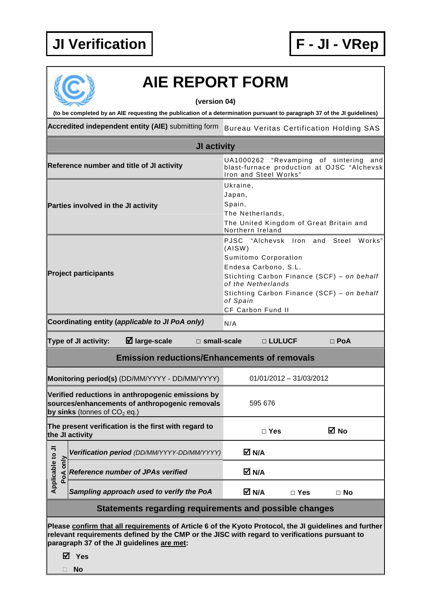

## **AIE REPORT FORM**

**(version 04)** 

**(to be completed by an AIE requesting the publication of a determination pursuant to paragraph 37 of the JI guidelines)** 

Accredited independent entity (AIE) submitting form Bureau Veritas Certification Holding SAS

| <b>JI activity</b>                                                                                                                                                                                                                                    |                                                                                                                                       |                                                                                                                                                                                                                                                            |  |  |  |  |  |
|-------------------------------------------------------------------------------------------------------------------------------------------------------------------------------------------------------------------------------------------------------|---------------------------------------------------------------------------------------------------------------------------------------|------------------------------------------------------------------------------------------------------------------------------------------------------------------------------------------------------------------------------------------------------------|--|--|--|--|--|
|                                                                                                                                                                                                                                                       | Reference number and title of JI activity                                                                                             | "Revamping of sintering<br>UA1000262<br>and<br>blast-furnace production at OJSC "Alchevsk<br>Iron and Steel Works"                                                                                                                                         |  |  |  |  |  |
|                                                                                                                                                                                                                                                       | Parties involved in the JI activity                                                                                                   | Ukraine,<br>Japan,<br>Spain,<br>The Netherlands,<br>The United Kingdom of Great Britain and<br>Northern Ireland                                                                                                                                            |  |  |  |  |  |
|                                                                                                                                                                                                                                                       | <b>Project participants</b>                                                                                                           | PJSC<br>"Alchevsk Iron and<br>Steel<br>Works"<br>(AISW)<br>Sumitomo Corporation<br>Endesa Carbono, S.L.<br>Stichting Carbon Finance (SCF) - on behalf<br>of the Netherlands<br>Stichting Carbon Finance (SCF) - on behalf<br>of Spain<br>CF Carbon Fund II |  |  |  |  |  |
|                                                                                                                                                                                                                                                       | Coordinating entity (applicable to JI PoA only)<br>N/A                                                                                |                                                                                                                                                                                                                                                            |  |  |  |  |  |
| $\boxtimes$ large-scale<br>Type of JI activity:<br>$\square$ small-scale<br>□ LULUCF<br>$\Box$ PoA                                                                                                                                                    |                                                                                                                                       |                                                                                                                                                                                                                                                            |  |  |  |  |  |
| <b>Emission reductions/Enhancements of removals</b>                                                                                                                                                                                                   |                                                                                                                                       |                                                                                                                                                                                                                                                            |  |  |  |  |  |
|                                                                                                                                                                                                                                                       | Monitoring period(s) (DD/MM/YYYY - DD/MM/YYYY)                                                                                        | $01/01/2012 - 31/03/2012$                                                                                                                                                                                                                                  |  |  |  |  |  |
|                                                                                                                                                                                                                                                       | Verified reductions in anthropogenic emissions by<br>sources/enhancements of anthropogenic removals<br>by sinks (tonnes of $CO2$ eq.) | 595 676                                                                                                                                                                                                                                                    |  |  |  |  |  |
|                                                                                                                                                                                                                                                       | The present verification is the first with regard to<br>the JI activity                                                               | ⊠ No<br>$\Box$ Yes                                                                                                                                                                                                                                         |  |  |  |  |  |
| ⋾                                                                                                                                                                                                                                                     | Verification period (DD/MM/YYYY-DD/MM/YYYY)                                                                                           | M N/A                                                                                                                                                                                                                                                      |  |  |  |  |  |
| Applicable to<br>PoA only                                                                                                                                                                                                                             | <b>Reference number of JPAs verified</b>                                                                                              | M N/A                                                                                                                                                                                                                                                      |  |  |  |  |  |
|                                                                                                                                                                                                                                                       | Sampling approach used to verify the PoA                                                                                              | M N/A<br>$\Box$ Yes<br>$\Box$ No                                                                                                                                                                                                                           |  |  |  |  |  |
| Statements regarding requirements and possible changes                                                                                                                                                                                                |                                                                                                                                       |                                                                                                                                                                                                                                                            |  |  |  |  |  |
| Please confirm that all requirements of Article 6 of the Kyoto Protocol, the JI guidelines and further<br>relevant requirements defined by the CMP or the JISC with regard to verifications pursuant to<br>paragraph 37 of the JI guidelines are met: |                                                                                                                                       |                                                                                                                                                                                                                                                            |  |  |  |  |  |

**Yes** 

**No**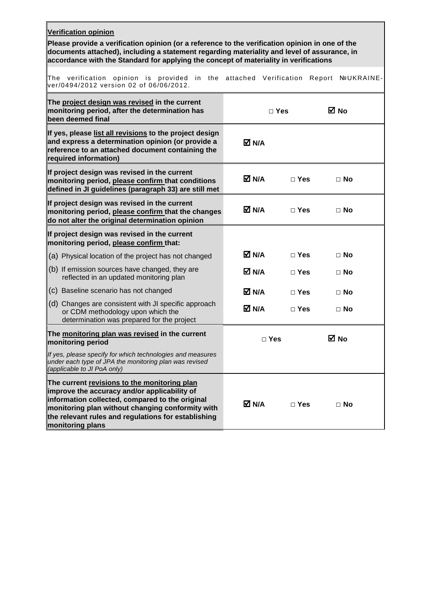| <b>Verification opinion</b><br>Please provide a verification opinion (or a reference to the verification opinion in one of the<br>documents attached), including a statement regarding materiality and level of assurance, in<br>accordance with the Standard for applying the concept of materiality in verifications |          |               |                   |  |  |  |  |
|------------------------------------------------------------------------------------------------------------------------------------------------------------------------------------------------------------------------------------------------------------------------------------------------------------------------|----------|---------------|-------------------|--|--|--|--|
| The verification opinion is provided in the<br>ver/0494/2012 version 02 of 06/06/2012.                                                                                                                                                                                                                                 | attached | Verification  | Report NºUKRAINE- |  |  |  |  |
| The project design was revised in the current<br>monitoring period, after the determination has<br>been deemed final                                                                                                                                                                                                   |          | $\Box$ Yes    | ⊠ No              |  |  |  |  |
| If yes, please list all revisions to the project design<br>and express a determination opinion (or provide a<br>reference to an attached document containing the<br>required information)                                                                                                                              | M N/A    |               |                   |  |  |  |  |
| If project design was revised in the current<br>monitoring period, please confirm that conditions<br>defined in JI guidelines (paragraph 33) are still met                                                                                                                                                             | M N/A    | $\Box$ Yes    | $\Box$ No         |  |  |  |  |
| If project design was revised in the current<br>monitoring period, please confirm that the changes<br>do not alter the original determination opinion                                                                                                                                                                  | M N/A    | $\Box$ Yes    | $\Box$ No         |  |  |  |  |
| If project design was revised in the current<br>monitoring period, please confirm that:                                                                                                                                                                                                                                |          |               |                   |  |  |  |  |
| (a) Physical location of the project has not changed                                                                                                                                                                                                                                                                   | M N/A    | $\square$ Yes | $\Box$ No         |  |  |  |  |
| $(6)$ If emission sources have changed, they are<br>reflected in an updated monitoring plan                                                                                                                                                                                                                            | M N/A    | $\Box$ Yes    | $\Box$ No         |  |  |  |  |
| (c) Baseline scenario has not changed                                                                                                                                                                                                                                                                                  | M N/A    | $\Box$ Yes    | $\Box$ No         |  |  |  |  |
| (d) Changes are consistent with JI specific approach<br>or CDM methodology upon which the<br>determination was prepared for the project                                                                                                                                                                                | M N/A    | $\Box$ Yes    | $\Box$ No         |  |  |  |  |
| The monitoring plan was revised in the current<br>monitoring period                                                                                                                                                                                                                                                    |          | $\Box$ Yes    | ⊠ No              |  |  |  |  |
| If yes, please specify for which technologies and measures<br>under each type of JPA the monitoring plan was revised<br>(applicable to JI PoA only)                                                                                                                                                                    |          |               |                   |  |  |  |  |
| The current revisions to the monitoring plan<br>improve the accuracy and/or applicability of<br>information collected, compared to the original<br>monitoring plan without changing conformity with<br>the relevant rules and regulations for establishing<br>monitoring plans                                         | M N/A    | $\Box$ Yes    | $\Box$ No         |  |  |  |  |